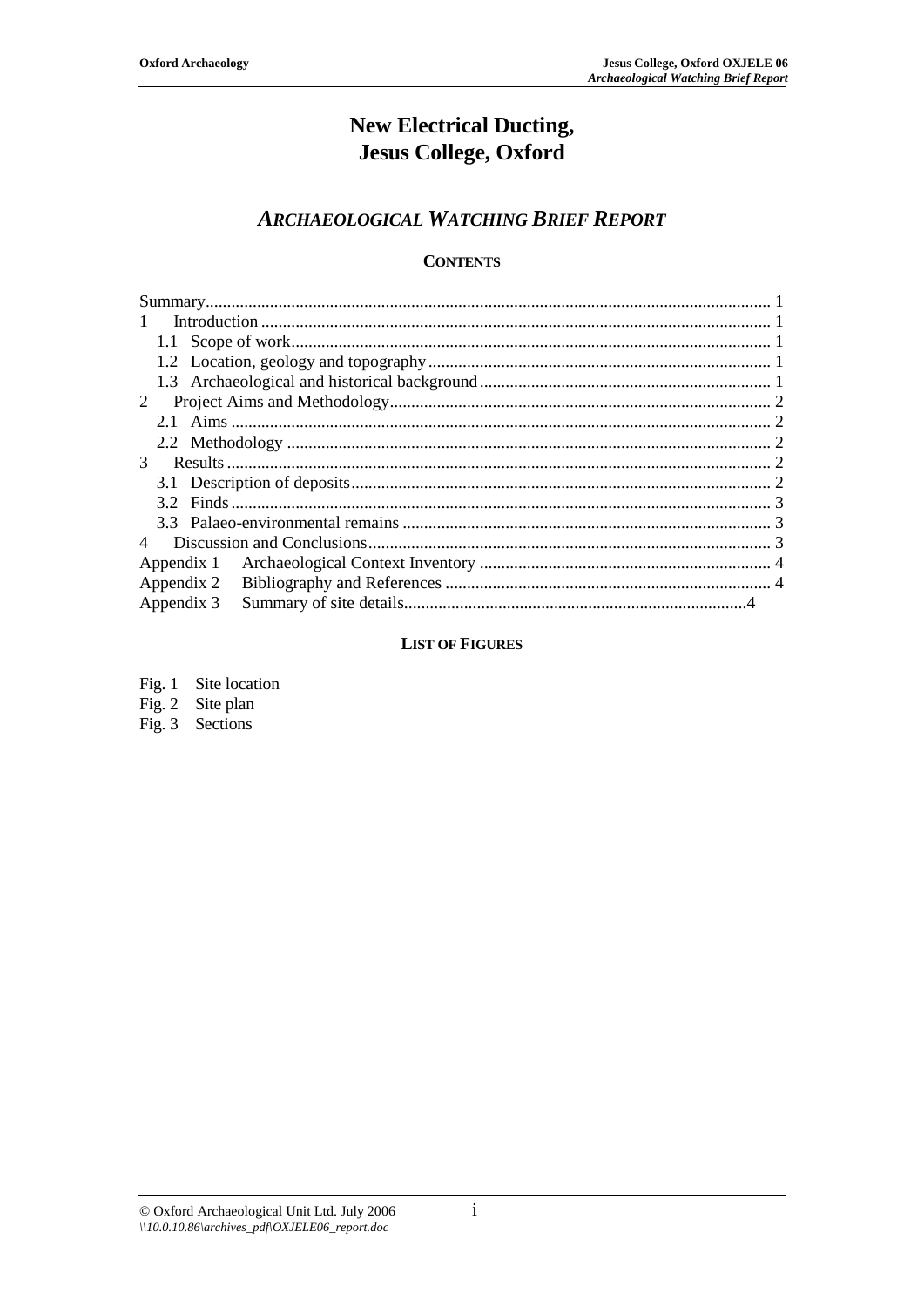# **New Electrical Ducting, Jesus College, Oxford**

## **ARCHAEOLOGICAL WATCHING BRIEF REPORT**

## **CONTENTS**

| $\mathbf{1}$ |  |  |  |  |  |
|--------------|--|--|--|--|--|
|              |  |  |  |  |  |
|              |  |  |  |  |  |
|              |  |  |  |  |  |
| 2            |  |  |  |  |  |
|              |  |  |  |  |  |
|              |  |  |  |  |  |
| 3            |  |  |  |  |  |
|              |  |  |  |  |  |
|              |  |  |  |  |  |
|              |  |  |  |  |  |
|              |  |  |  |  |  |
| Appendix 1   |  |  |  |  |  |
| Appendix 2   |  |  |  |  |  |
| Appendix 3   |  |  |  |  |  |

## **LIST OF FIGURES**

| Fig. $1$ | Site location |
|----------|---------------|
|          |               |

Fig. 2 Site plan Fig. 3 Sections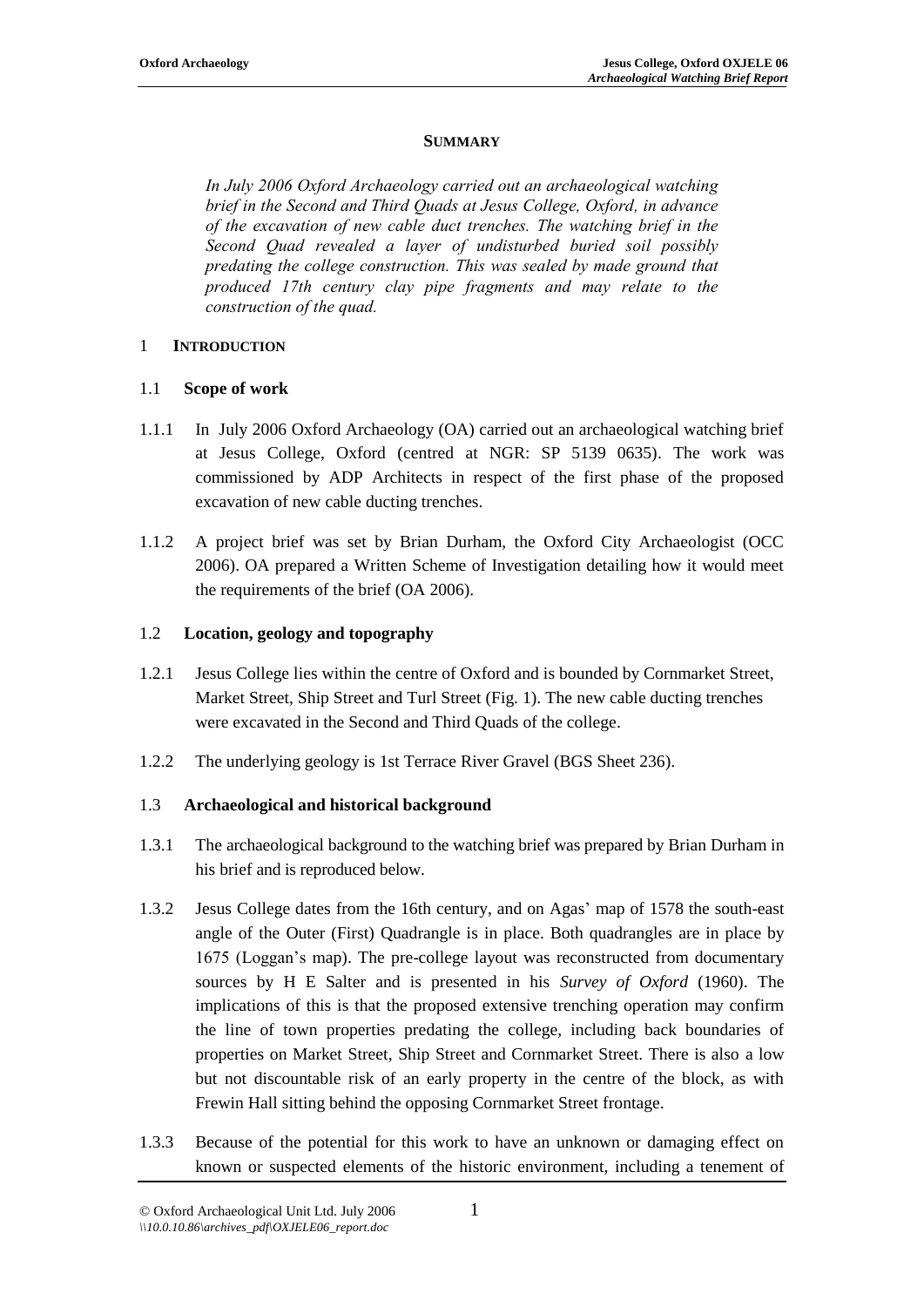#### **SUMMARY**

*In July 2006 Oxford Archaeology carried out an archaeological watching brief in the Second and Third Quads at Jesus College, Oxford, in advance of the excavation of new cable duct trenches. The watching brief in the Second Quad revealed a layer of undisturbed buried soil possibly predating the college construction. This was sealed by made ground that produced 17th century clay pipe fragments and may relate to the construction of the quad.*

#### 1 **INTRODUCTION**

#### 1.1 **Scope of work**

- 1.1.1 In July 2006 Oxford Archaeology (OA) carried out an archaeological watching brief at Jesus College, Oxford (centred at NGR: SP 5139 0635). The work was commissioned by ADP Architects in respect of the first phase of the proposed excavation of new cable ducting trenches.
- 1.1.2 A project brief was set by Brian Durham, the Oxford City Archaeologist (OCC 2006). OA prepared a Written Scheme of Investigation detailing how it would meet the requirements of the brief (OA 2006).

#### 1.2 **Location, geology and topography**

- 1.2.1 Jesus College lies within the centre of Oxford and is bounded by Cornmarket Street, Market Street, Ship Street and Turl Street (Fig. 1). The new cable ducting trenches were excavated in the Second and Third Quads of the college.
- 1.2.2 The underlying geology is 1st Terrace River Gravel (BGS Sheet 236).

#### 1.3 **Archaeological and historical background**

- 1.3.1 The archaeological background to the watching brief was prepared by Brian Durham in his brief and is reproduced below.
- 1.3.2 Jesus College dates from the 16th century, and on Agas' map of 1578 the south-east angle of the Outer (First) Quadrangle is in place. Both quadrangles are in place by 1675 (Loggan's map). The pre-college layout was reconstructed from documentary sources by H E Salter and is presented in his *Survey of Oxford* (1960). The implications of this is that the proposed extensive trenching operation may confirm the line of town properties predating the college, including back boundaries of properties on Market Street, Ship Street and Cornmarket Street. There is also a low but not discountable risk of an early property in the centre of the block, as with Frewin Hall sitting behind the opposing Cornmarket Street frontage.
- 1.3.3 Because of the potential for this work to have an unknown or damaging effect on known or suspected elements of the historic environment, including a tenement of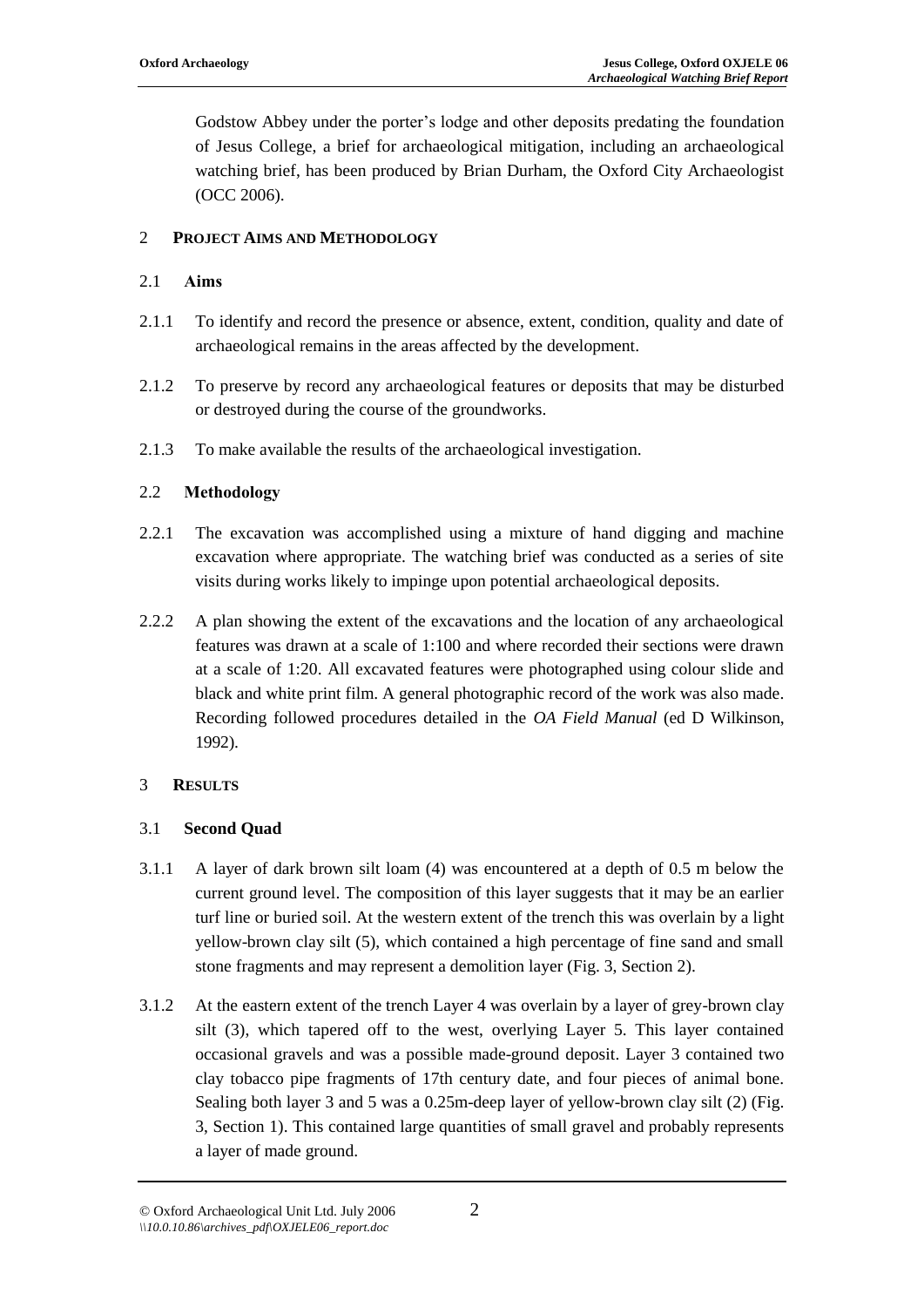Godstow Abbey under the porter's lodge and other deposits predating the foundation of Jesus College, a brief for archaeological mitigation, including an archaeological watching brief, has been produced by Brian Durham, the Oxford City Archaeologist (OCC 2006).

## 2 **PROJECT AIMS AND METHODOLOGY**

## 2.1 **Aims**

- 2.1.1 To identify and record the presence or absence, extent, condition, quality and date of archaeological remains in the areas affected by the development.
- 2.1.2 To preserve by record any archaeological features or deposits that may be disturbed or destroyed during the course of the groundworks.
- 2.1.3 To make available the results of the archaeological investigation.

## 2.2 **Methodology**

- 2.2.1 The excavation was accomplished using a mixture of hand digging and machine excavation where appropriate. The watching brief was conducted as a series of site visits during works likely to impinge upon potential archaeological deposits.
- 2.2.2 A plan showing the extent of the excavations and the location of any archaeological features was drawn at a scale of 1:100 and where recorded their sections were drawn at a scale of 1:20. All excavated features were photographed using colour slide and black and white print film. A general photographic record of the work was also made. Recording followed procedures detailed in the *OA Field Manual* (ed D Wilkinson, 1992).

## 3 **RESULTS**

## 3.1 **Second Quad**

- 3.1.1 A layer of dark brown silt loam (4) was encountered at a depth of 0.5 m below the current ground level. The composition of this layer suggests that it may be an earlier turf line or buried soil. At the western extent of the trench this was overlain by a light yellow-brown clay silt (5), which contained a high percentage of fine sand and small stone fragments and may represent a demolition layer (Fig. 3, Section 2).
- 3.1.2 At the eastern extent of the trench Layer 4 was overlain by a layer of grey-brown clay silt (3), which tapered off to the west, overlying Layer 5. This layer contained occasional gravels and was a possible made-ground deposit. Layer 3 contained two clay tobacco pipe fragments of 17th century date, and four pieces of animal bone. Sealing both layer 3 and 5 was a 0.25m-deep layer of yellow-brown clay silt (2) (Fig. 3, Section 1). This contained large quantities of small gravel and probably represents a layer of made ground.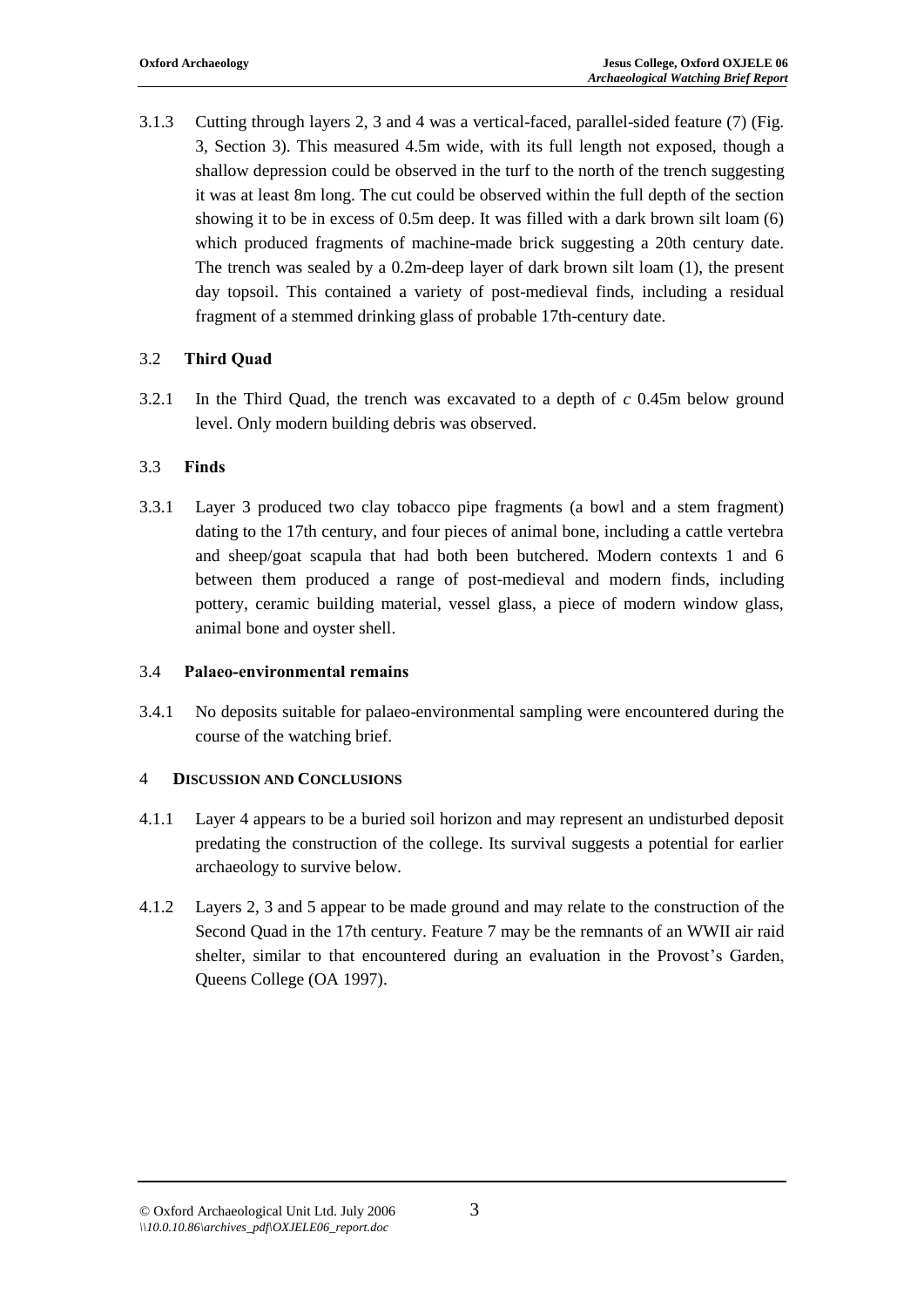3.1.3 Cutting through layers 2, 3 and 4 was a vertical-faced, parallel-sided feature (7) (Fig. 3, Section 3). This measured 4.5m wide, with its full length not exposed, though a shallow depression could be observed in the turf to the north of the trench suggesting it was at least 8m long. The cut could be observed within the full depth of the section showing it to be in excess of 0.5m deep. It was filled with a dark brown silt loam (6) which produced fragments of machine-made brick suggesting a 20th century date. The trench was sealed by a 0.2m-deep layer of dark brown silt loam (1), the present day topsoil. This contained a variety of post-medieval finds, including a residual fragment of a stemmed drinking glass of probable 17th-century date.

## 3.2 **Third Quad**

3.2.1 In the Third Quad, the trench was excavated to a depth of *c* 0.45m below ground level. Only modern building debris was observed.

#### 3.3 **Finds**

3.3.1 Layer 3 produced two clay tobacco pipe fragments (a bowl and a stem fragment) dating to the 17th century, and four pieces of animal bone, including a cattle vertebra and sheep/goat scapula that had both been butchered. Modern contexts 1 and 6 between them produced a range of post-medieval and modern finds, including pottery, ceramic building material, vessel glass, a piece of modern window glass, animal bone and oyster shell.

#### 3.4 **Palaeo-environmental remains**

3.4.1 No deposits suitable for palaeo-environmental sampling were encountered during the course of the watching brief.

## 4 **DISCUSSION AND CONCLUSIONS**

- 4.1.1 Layer 4 appears to be a buried soil horizon and may represent an undisturbed deposit predating the construction of the college. Its survival suggests a potential for earlier archaeology to survive below.
- 4.1.2 Layers 2, 3 and 5 appear to be made ground and may relate to the construction of the Second Quad in the 17th century. Feature 7 may be the remnants of an WWII air raid shelter, similar to that encountered during an evaluation in the Provost's Garden, Queens College (OA 1997).